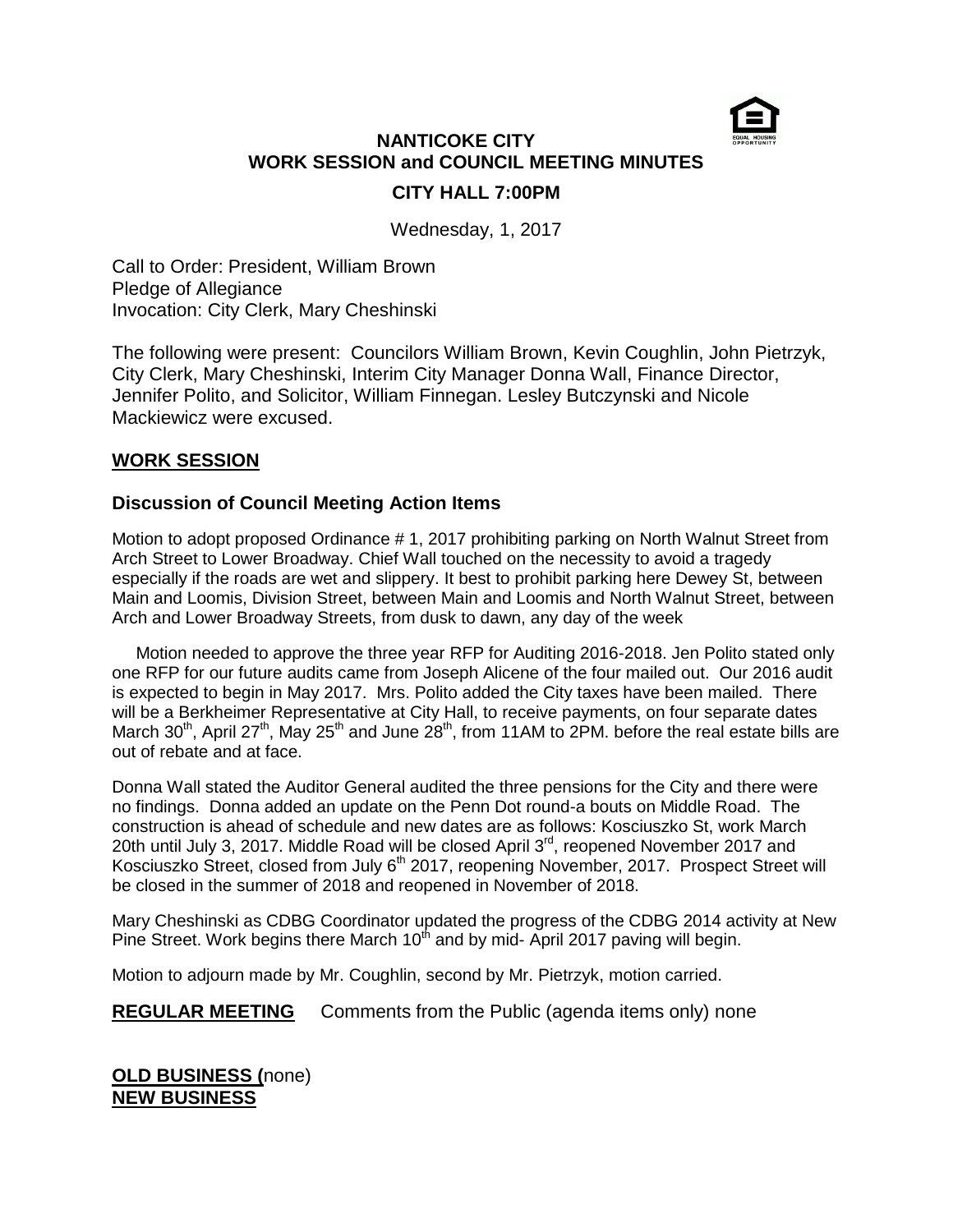

# **NANTICOKE CITY WORK SESSION and COUNCIL MEETING MINUTES CITY HALL 7:00PM**

Wednesday, 1, 2017

Call to Order: President, William Brown Pledge of Allegiance Invocation: City Clerk, Mary Cheshinski

The following were present: Councilors William Brown, Kevin Coughlin, John Pietrzyk, City Clerk, Mary Cheshinski, Interim City Manager Donna Wall, Finance Director, Jennifer Polito, and Solicitor, William Finnegan. Lesley Butczynski and Nicole Mackiewicz were excused.

## **WORK SESSION**

## **Discussion of Council Meeting Action Items**

Motion to adopt proposed Ordinance # 1, 2017 prohibiting parking on North Walnut Street from Arch Street to Lower Broadway. Chief Wall touched on the necessity to avoid a tragedy especially if the roads are wet and slippery. It best to prohibit parking here Dewey St, between Main and Loomis, Division Street, between Main and Loomis and North Walnut Street, between Arch and Lower Broadway Streets, from dusk to dawn, any day of the week

 Motion needed to approve the three year RFP for Auditing 2016-2018. Jen Polito stated only one RFP for our future audits came from Joseph Alicene of the four mailed out. Our 2016 audit is expected to begin in May 2017. Mrs. Polito added the City taxes have been mailed. There will be a Berkheimer Representative at City Hall, to receive payments, on four separate dates March 30<sup>th</sup>, April 27<sup>th</sup>, May 25<sup>th</sup> and June 28<sup>th</sup>, from 11AM to 2PM. before the real estate bills are out of rebate and at face.

Donna Wall stated the Auditor General audited the three pensions for the City and there were no findings. Donna added an update on the Penn Dot round-a bouts on Middle Road. The construction is ahead of schedule and new dates are as follows: Kosciuszko St, work March 20th until July 3, 2017. Middle Road will be closed April 3<sup>rd</sup>, reopened November 2017 and Kosciuszko Street, closed from July 6<sup>th</sup> 2017, reopening November, 2017. Prospect Street will be closed in the summer of 2018 and reopened in November of 2018.

Mary Cheshinski as CDBG Coordinator updated the progress of the CDBG 2014 activity at New Pine Street. Work begins there March  $10<sup>th</sup>$  and by mid- April 2017 paving will begin.

Motion to adjourn made by Mr. Coughlin, second by Mr. Pietrzyk, motion carried.

**REGULAR MEETING** Comments from the Public (agenda items only) none

### **OLD BUSINESS (**none) **NEW BUSINESS**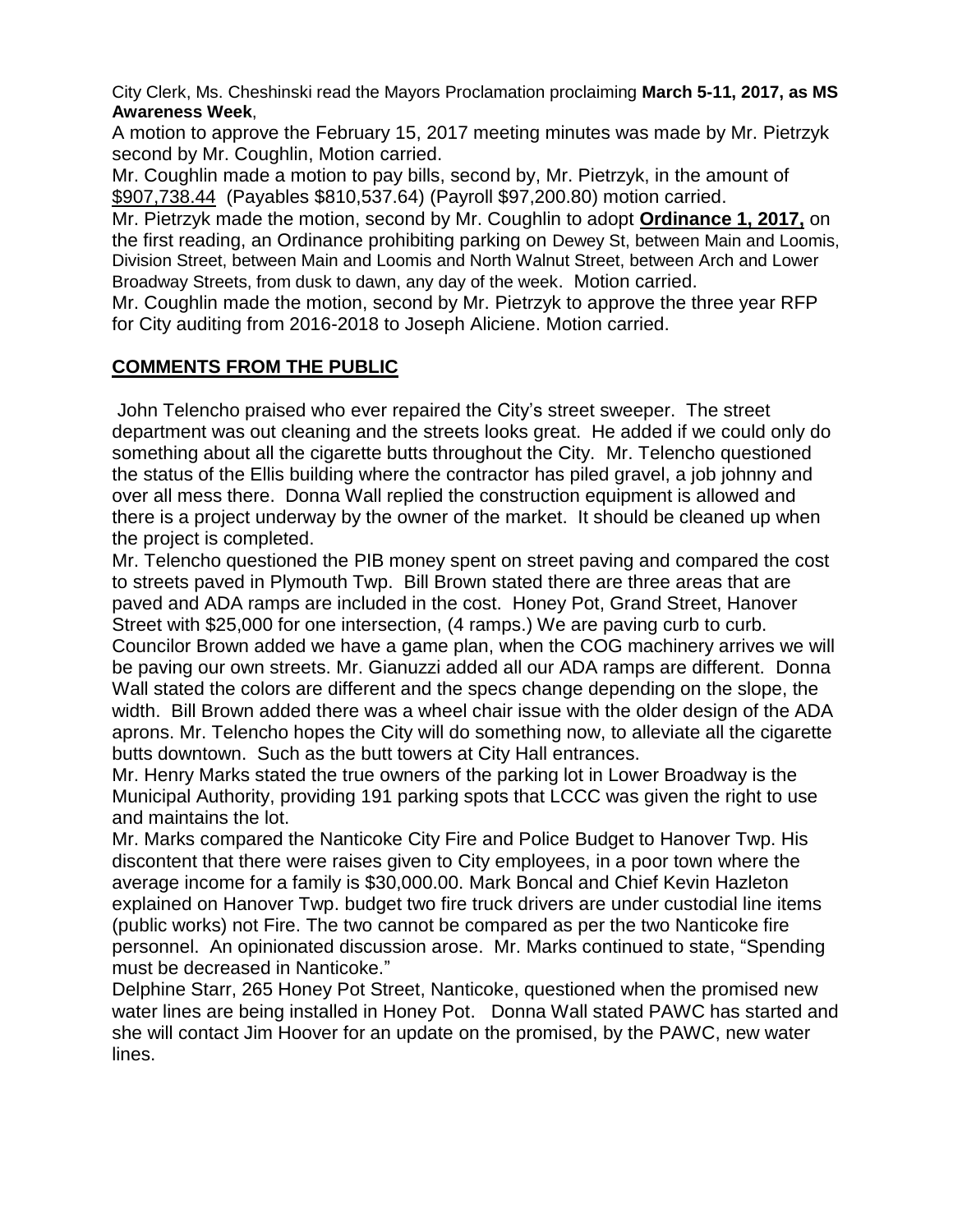City Clerk, Ms. Cheshinski read the Mayors Proclamation proclaiming **March 5-11, 2017, as MS Awareness Week**,

A motion to approve the February 15, 2017 meeting minutes was made by Mr. Pietrzyk second by Mr. Coughlin, Motion carried.

Mr. Coughlin made a motion to pay bills, second by, Mr. Pietrzyk, in the amount of \$907,738.44 (Payables \$810,537.64) (Payroll \$97,200.80) motion carried.

Mr. Pietrzyk made the motion, second by Mr. Coughlin to adopt **Ordinance 1, 2017,** on the first reading, an Ordinance prohibiting parking on Dewey St, between Main and Loomis, Division Street, between Main and Loomis and North Walnut Street, between Arch and Lower Broadway Streets, from dusk to dawn, any day of the week. Motion carried.

Mr. Coughlin made the motion, second by Mr. Pietrzyk to approve the three year RFP for City auditing from 2016-2018 to Joseph Aliciene. Motion carried.

# **COMMENTS FROM THE PUBLIC**

John Telencho praised who ever repaired the City's street sweeper. The street department was out cleaning and the streets looks great. He added if we could only do something about all the cigarette butts throughout the City. Mr. Telencho questioned the status of the Ellis building where the contractor has piled gravel, a job johnny and over all mess there. Donna Wall replied the construction equipment is allowed and there is a project underway by the owner of the market. It should be cleaned up when the project is completed.

Mr. Telencho questioned the PIB money spent on street paving and compared the cost to streets paved in Plymouth Twp. Bill Brown stated there are three areas that are paved and ADA ramps are included in the cost. Honey Pot, Grand Street, Hanover Street with \$25,000 for one intersection, (4 ramps.) We are paving curb to curb. Councilor Brown added we have a game plan, when the COG machinery arrives we will be paving our own streets. Mr. Gianuzzi added all our ADA ramps are different. Donna Wall stated the colors are different and the specs change depending on the slope, the width. Bill Brown added there was a wheel chair issue with the older design of the ADA aprons. Mr. Telencho hopes the City will do something now, to alleviate all the cigarette butts downtown. Such as the butt towers at City Hall entrances.

Mr. Henry Marks stated the true owners of the parking lot in Lower Broadway is the Municipal Authority, providing 191 parking spots that LCCC was given the right to use and maintains the lot.

Mr. Marks compared the Nanticoke City Fire and Police Budget to Hanover Twp. His discontent that there were raises given to City employees, in a poor town where the average income for a family is \$30,000.00. Mark Boncal and Chief Kevin Hazleton explained on Hanover Twp. budget two fire truck drivers are under custodial line items (public works) not Fire. The two cannot be compared as per the two Nanticoke fire personnel. An opinionated discussion arose. Mr. Marks continued to state, "Spending must be decreased in Nanticoke."

Delphine Starr, 265 Honey Pot Street, Nanticoke, questioned when the promised new water lines are being installed in Honey Pot. Donna Wall stated PAWC has started and she will contact Jim Hoover for an update on the promised, by the PAWC, new water lines.